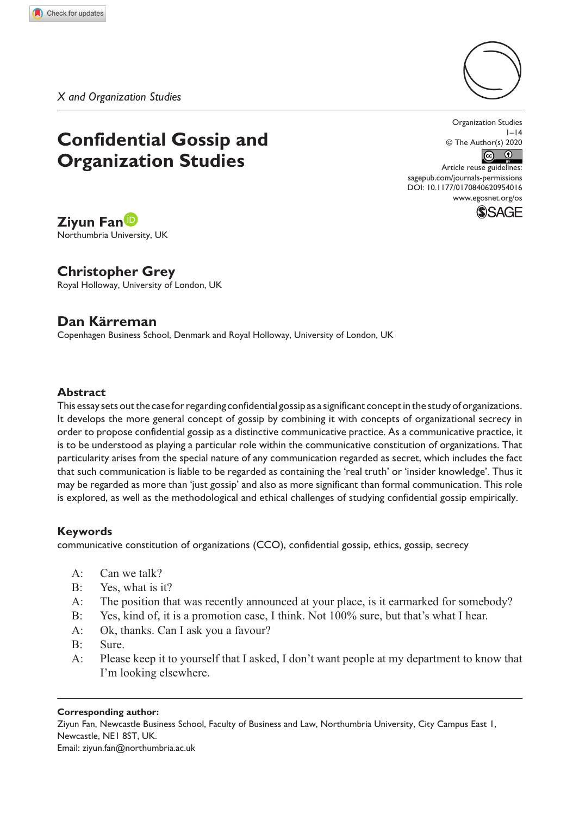*X and Organization Studies*

# **Confidential Gossip and Organization Studies**

Organization Studies  $I-I4$ © The Author(s) 2020  $\odot$   $\odot$ 

DOI: 10.1177/0170840620954016 Article reuse guidelines: [sagepub.com/journals-permissions](https://uk.sagepub.com/en-gb/journals-permissions) [www.egosnet.org/os](http://www.egosnet.org/os)



# **Ziyun Fan**

Northumbria University, UK

# **Christopher Grey**

Royal Holloway, University of London, UK

# **Dan Kärreman**

Copenhagen Business School, Denmark and Royal Holloway, University of London, UK

## **Abstract**

This essay sets out the case for regarding confidential gossip as a significant concept in the study of organizations. It develops the more general concept of gossip by combining it with concepts of organizational secrecy in order to propose confidential gossip as a distinctive communicative practice. As a communicative practice, it is to be understood as playing a particular role within the communicative constitution of organizations. That particularity arises from the special nature of any communication regarded as secret, which includes the fact that such communication is liable to be regarded as containing the 'real truth' or 'insider knowledge'. Thus it may be regarded as more than 'just gossip' and also as more significant than formal communication. This role is explored, as well as the methodological and ethical challenges of studying confidential gossip empirically.

#### **Keywords**

communicative constitution of organizations (CCO), confidential gossip, ethics, gossip, secrecy

- A: Can we talk?
- B: Yes, what is it?
- A: The position that was recently announced at your place, is it earmarked for somebody?
- B: Yes, kind of, it is a promotion case, I think. Not 100% sure, but that's what I hear.
- A: Ok, thanks. Can I ask you a favour?
- B: Sure.
- A: Please keep it to yourself that I asked, I don't want people at my department to know that I'm looking elsewhere.

#### **Corresponding author:**

Ziyun Fan, Newcastle Business School, Faculty of Business and Law, Northumbria University, City Campus East 1, Newcastle, NE1 8ST, UK. Email: [ziyun.fan@northumbria.ac.uk](mailto:ziyun.fan@northumbria.ac.uk)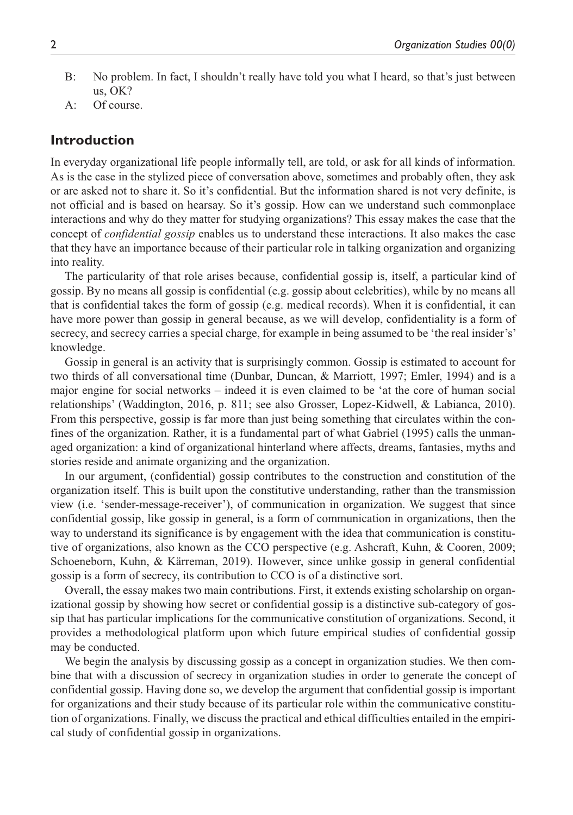- B: No problem. In fact, I shouldn't really have told you what I heard, so that's just between us, OK?
- A: Of course.

## **Introduction**

In everyday organizational life people informally tell, are told, or ask for all kinds of information. As is the case in the stylized piece of conversation above, sometimes and probably often, they ask or are asked not to share it. So it's confidential. But the information shared is not very definite, is not official and is based on hearsay. So it's gossip. How can we understand such commonplace interactions and why do they matter for studying organizations? This essay makes the case that the concept of *confidential gossip* enables us to understand these interactions. It also makes the case that they have an importance because of their particular role in talking organization and organizing into reality.

The particularity of that role arises because, confidential gossip is, itself, a particular kind of gossip. By no means all gossip is confidential (e.g. gossip about celebrities), while by no means all that is confidential takes the form of gossip (e.g. medical records). When it is confidential, it can have more power than gossip in general because, as we will develop, confidentiality is a form of secrecy, and secrecy carries a special charge, for example in being assumed to be 'the real insider's' knowledge.

Gossip in general is an activity that is surprisingly common. Gossip is estimated to account for two thirds of all conversational time (Dunbar, Duncan, & Marriott, 1997; Emler, 1994) and is a major engine for social networks – indeed it is even claimed to be 'at the core of human social relationships' (Waddington, 2016, p. 811; see also Grosser, Lopez-Kidwell, & Labianca, 2010). From this perspective, gossip is far more than just being something that circulates within the confines of the organization. Rather, it is a fundamental part of what Gabriel (1995) calls the unmanaged organization: a kind of organizational hinterland where affects, dreams, fantasies, myths and stories reside and animate organizing and the organization.

In our argument, (confidential) gossip contributes to the construction and constitution of the organization itself. This is built upon the constitutive understanding, rather than the transmission view (i.e. 'sender-message-receiver'), of communication in organization. We suggest that since confidential gossip, like gossip in general, is a form of communication in organizations, then the way to understand its significance is by engagement with the idea that communication is constitutive of organizations, also known as the CCO perspective (e.g. Ashcraft, Kuhn, & Cooren, 2009; Schoeneborn, Kuhn, & Kärreman, 2019). However, since unlike gossip in general confidential gossip is a form of secrecy, its contribution to CCO is of a distinctive sort.

Overall, the essay makes two main contributions. First, it extends existing scholarship on organizational gossip by showing how secret or confidential gossip is a distinctive sub-category of gossip that has particular implications for the communicative constitution of organizations. Second, it provides a methodological platform upon which future empirical studies of confidential gossip may be conducted.

We begin the analysis by discussing gossip as a concept in organization studies. We then combine that with a discussion of secrecy in organization studies in order to generate the concept of confidential gossip. Having done so, we develop the argument that confidential gossip is important for organizations and their study because of its particular role within the communicative constitution of organizations. Finally, we discuss the practical and ethical difficulties entailed in the empirical study of confidential gossip in organizations.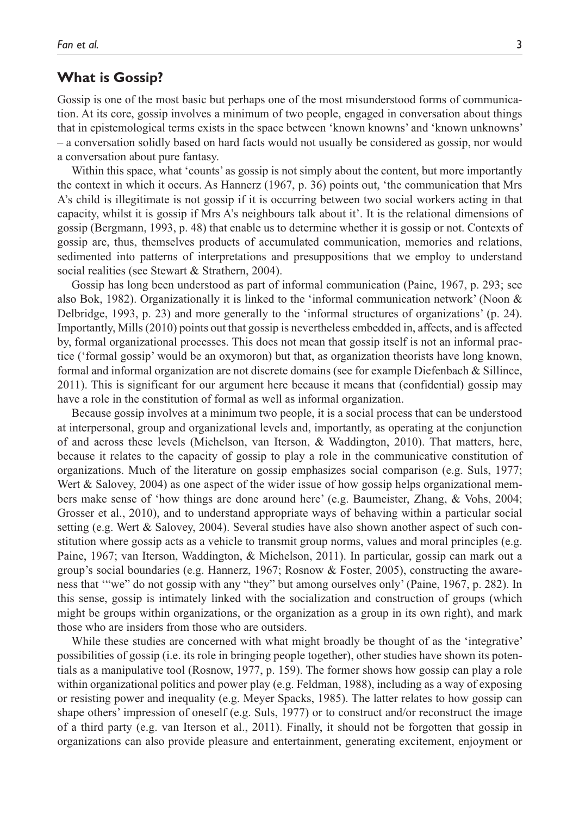## **What is Gossip?**

Gossip is one of the most basic but perhaps one of the most misunderstood forms of communication. At its core, gossip involves a minimum of two people, engaged in conversation about things that in epistemological terms exists in the space between 'known knowns' and 'known unknowns' – a conversation solidly based on hard facts would not usually be considered as gossip, nor would a conversation about pure fantasy.

Within this space, what 'counts' as gossip is not simply about the content, but more importantly the context in which it occurs. As Hannerz (1967, p. 36) points out, 'the communication that Mrs A's child is illegitimate is not gossip if it is occurring between two social workers acting in that capacity, whilst it is gossip if Mrs A's neighbours talk about it'. It is the relational dimensions of gossip (Bergmann, 1993, p. 48) that enable us to determine whether it is gossip or not. Contexts of gossip are, thus, themselves products of accumulated communication, memories and relations, sedimented into patterns of interpretations and presuppositions that we employ to understand social realities (see Stewart & Strathern, 2004).

Gossip has long been understood as part of informal communication (Paine, 1967, p. 293; see also Bok, 1982). Organizationally it is linked to the 'informal communication network' (Noon & Delbridge, 1993, p. 23) and more generally to the 'informal structures of organizations' (p. 24). Importantly, Mills (2010) points out that gossip is nevertheless embedded in, affects, and is affected by, formal organizational processes. This does not mean that gossip itself is not an informal practice ('formal gossip' would be an oxymoron) but that, as organization theorists have long known, formal and informal organization are not discrete domains (see for example Diefenbach & Sillince, 2011). This is significant for our argument here because it means that (confidential) gossip may have a role in the constitution of formal as well as informal organization.

Because gossip involves at a minimum two people, it is a social process that can be understood at interpersonal, group and organizational levels and, importantly, as operating at the conjunction of and across these levels (Michelson, van Iterson, & Waddington, 2010). That matters, here, because it relates to the capacity of gossip to play a role in the communicative constitution of organizations. Much of the literature on gossip emphasizes social comparison (e.g. Suls, 1977; Wert & Salovey, 2004) as one aspect of the wider issue of how gossip helps organizational members make sense of 'how things are done around here' (e.g. Baumeister, Zhang, & Vohs, 2004; Grosser et al., 2010), and to understand appropriate ways of behaving within a particular social setting (e.g. Wert & Salovey, 2004). Several studies have also shown another aspect of such constitution where gossip acts as a vehicle to transmit group norms, values and moral principles (e.g. Paine, 1967; van Iterson, Waddington, & Michelson, 2011). In particular, gossip can mark out a group's social boundaries (e.g. Hannerz, 1967; Rosnow & Foster, 2005), constructing the awareness that '"we" do not gossip with any "they" but among ourselves only' (Paine, 1967, p. 282). In this sense, gossip is intimately linked with the socialization and construction of groups (which might be groups within organizations, or the organization as a group in its own right), and mark those who are insiders from those who are outsiders.

While these studies are concerned with what might broadly be thought of as the 'integrative' possibilities of gossip (i.e. its role in bringing people together), other studies have shown its potentials as a manipulative tool (Rosnow, 1977, p. 159). The former shows how gossip can play a role within organizational politics and power play (e.g. Feldman, 1988), including as a way of exposing or resisting power and inequality (e.g. Meyer Spacks, 1985). The latter relates to how gossip can shape others' impression of oneself (e.g. Suls, 1977) or to construct and/or reconstruct the image of a third party (e.g. van Iterson et al., 2011). Finally, it should not be forgotten that gossip in organizations can also provide pleasure and entertainment, generating excitement, enjoyment or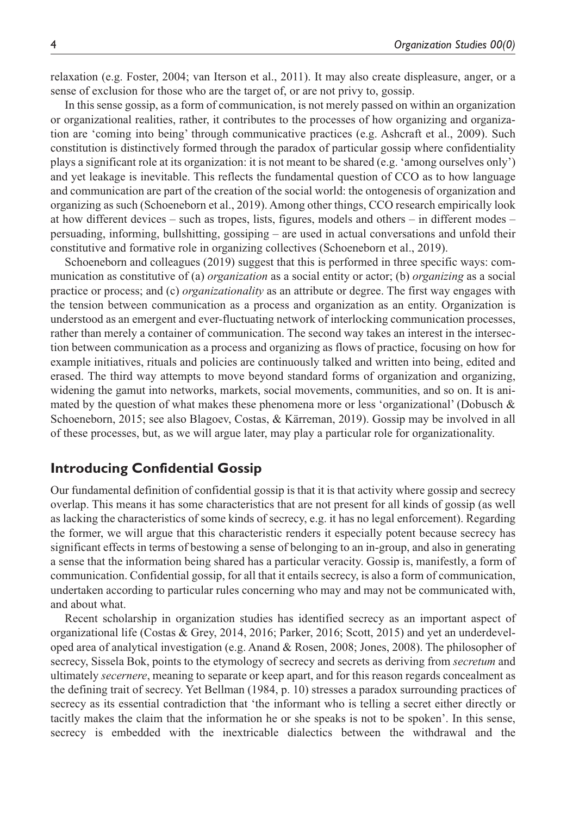relaxation (e.g. Foster, 2004; van Iterson et al., 2011). It may also create displeasure, anger, or a sense of exclusion for those who are the target of, or are not privy to, gossip.

In this sense gossip, as a form of communication, is not merely passed on within an organization or organizational realities, rather, it contributes to the processes of how organizing and organization are 'coming into being' through communicative practices (e.g. Ashcraft et al., 2009). Such constitution is distinctively formed through the paradox of particular gossip where confidentiality plays a significant role at its organization: it is not meant to be shared (e.g. 'among ourselves only') and yet leakage is inevitable. This reflects the fundamental question of CCO as to how language and communication are part of the creation of the social world: the ontogenesis of organization and organizing as such (Schoeneborn et al., 2019). Among other things, CCO research empirically look at how different devices – such as tropes, lists, figures, models and others – in different modes – persuading, informing, bullshitting, gossiping – are used in actual conversations and unfold their constitutive and formative role in organizing collectives (Schoeneborn et al., 2019).

Schoeneborn and colleagues (2019) suggest that this is performed in three specific ways: communication as constitutive of (a) *organization* as a social entity or actor; (b) *organizing* as a social practice or process; and (c) *organizationality* as an attribute or degree. The first way engages with the tension between communication as a process and organization as an entity. Organization is understood as an emergent and ever-fluctuating network of interlocking communication processes, rather than merely a container of communication. The second way takes an interest in the intersection between communication as a process and organizing as flows of practice, focusing on how for example initiatives, rituals and policies are continuously talked and written into being, edited and erased. The third way attempts to move beyond standard forms of organization and organizing, widening the gamut into networks, markets, social movements, communities, and so on. It is animated by the question of what makes these phenomena more or less 'organizational' (Dobusch & Schoeneborn, 2015; see also Blagoev, Costas, & Kärreman, 2019). Gossip may be involved in all of these processes, but, as we will argue later, may play a particular role for organizationality.

# **Introducing Confidential Gossip**

Our fundamental definition of confidential gossip is that it is that activity where gossip and secrecy overlap. This means it has some characteristics that are not present for all kinds of gossip (as well as lacking the characteristics of some kinds of secrecy, e.g. it has no legal enforcement). Regarding the former, we will argue that this characteristic renders it especially potent because secrecy has significant effects in terms of bestowing a sense of belonging to an in-group, and also in generating a sense that the information being shared has a particular veracity. Gossip is, manifestly, a form of communication. Confidential gossip, for all that it entails secrecy, is also a form of communication, undertaken according to particular rules concerning who may and may not be communicated with, and about what.

Recent scholarship in organization studies has identified secrecy as an important aspect of organizational life (Costas & Grey, 2014, 2016; Parker, 2016; Scott, 2015) and yet an underdeveloped area of analytical investigation (e.g. Anand & Rosen, 2008; Jones, 2008). The philosopher of secrecy, Sissela Bok, points to the etymology of secrecy and secrets as deriving from *secretum* and ultimately *secernere*, meaning to separate or keep apart, and for this reason regards concealment as the defining trait of secrecy. Yet Bellman (1984, p. 10) stresses a paradox surrounding practices of secrecy as its essential contradiction that 'the informant who is telling a secret either directly or tacitly makes the claim that the information he or she speaks is not to be spoken'. In this sense, secrecy is embedded with the inextricable dialectics between the withdrawal and the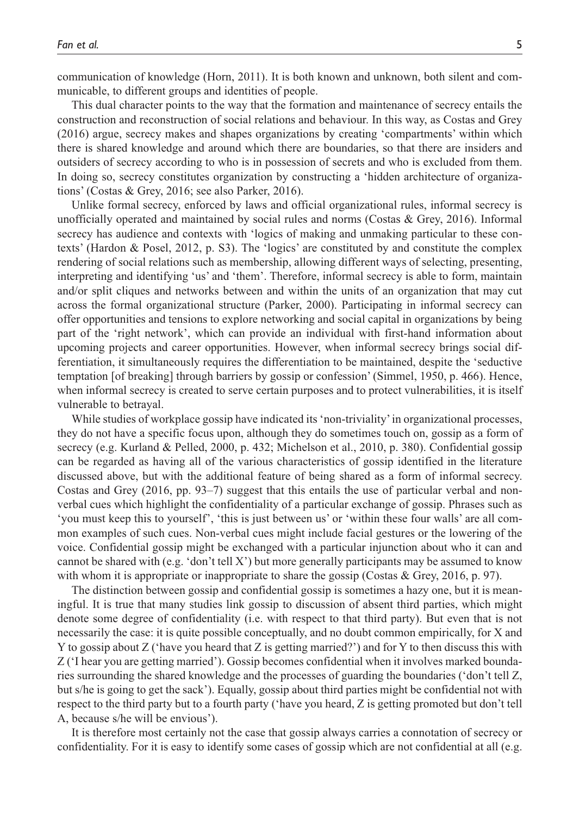communication of knowledge (Horn, 2011). It is both known and unknown, both silent and communicable, to different groups and identities of people.

This dual character points to the way that the formation and maintenance of secrecy entails the construction and reconstruction of social relations and behaviour. In this way, as Costas and Grey (2016) argue, secrecy makes and shapes organizations by creating 'compartments' within which there is shared knowledge and around which there are boundaries, so that there are insiders and outsiders of secrecy according to who is in possession of secrets and who is excluded from them. In doing so, secrecy constitutes organization by constructing a 'hidden architecture of organizations' (Costas & Grey, 2016; see also Parker, 2016).

Unlike formal secrecy, enforced by laws and official organizational rules, informal secrecy is unofficially operated and maintained by social rules and norms (Costas & Grey, 2016). Informal secrecy has audience and contexts with 'logics of making and unmaking particular to these contexts' (Hardon & Posel, 2012, p. S3). The 'logics' are constituted by and constitute the complex rendering of social relations such as membership, allowing different ways of selecting, presenting, interpreting and identifying 'us' and 'them'. Therefore, informal secrecy is able to form, maintain and/or split cliques and networks between and within the units of an organization that may cut across the formal organizational structure (Parker, 2000). Participating in informal secrecy can offer opportunities and tensions to explore networking and social capital in organizations by being part of the 'right network', which can provide an individual with first-hand information about upcoming projects and career opportunities. However, when informal secrecy brings social differentiation, it simultaneously requires the differentiation to be maintained, despite the 'seductive temptation [of breaking] through barriers by gossip or confession' (Simmel, 1950, p. 466). Hence, when informal secrecy is created to serve certain purposes and to protect vulnerabilities, it is itself vulnerable to betrayal.

While studies of workplace gossip have indicated its 'non-triviality' in organizational processes, they do not have a specific focus upon, although they do sometimes touch on, gossip as a form of secrecy (e.g. Kurland & Pelled, 2000, p. 432; Michelson et al., 2010, p. 380). Confidential gossip can be regarded as having all of the various characteristics of gossip identified in the literature discussed above, but with the additional feature of being shared as a form of informal secrecy. Costas and Grey (2016, pp. 93–7) suggest that this entails the use of particular verbal and nonverbal cues which highlight the confidentiality of a particular exchange of gossip. Phrases such as 'you must keep this to yourself', 'this is just between us' or 'within these four walls' are all common examples of such cues. Non-verbal cues might include facial gestures or the lowering of the voice. Confidential gossip might be exchanged with a particular injunction about who it can and cannot be shared with (e.g. 'don't tell X') but more generally participants may be assumed to know with whom it is appropriate or inappropriate to share the gossip (Costas & Grey, 2016, p. 97).

The distinction between gossip and confidential gossip is sometimes a hazy one, but it is meaningful. It is true that many studies link gossip to discussion of absent third parties, which might denote some degree of confidentiality (i.e. with respect to that third party). But even that is not necessarily the case: it is quite possible conceptually, and no doubt common empirically, for X and Y to gossip about Z ('have you heard that Z is getting married?') and for Y to then discuss this with Z ('I hear you are getting married'). Gossip becomes confidential when it involves marked boundaries surrounding the shared knowledge and the processes of guarding the boundaries ('don't tell Z, but s/he is going to get the sack'). Equally, gossip about third parties might be confidential not with respect to the third party but to a fourth party ('have you heard, Z is getting promoted but don't tell A, because s/he will be envious').

It is therefore most certainly not the case that gossip always carries a connotation of secrecy or confidentiality. For it is easy to identify some cases of gossip which are not confidential at all (e.g.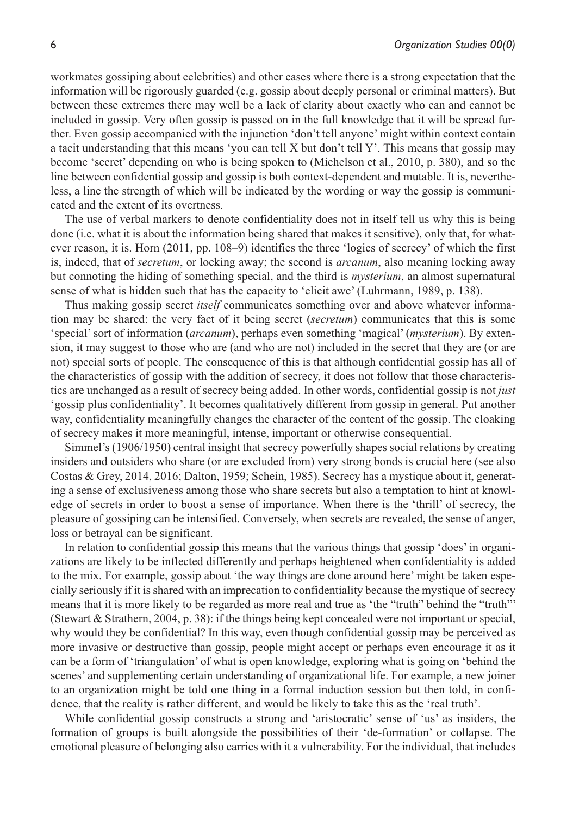workmates gossiping about celebrities) and other cases where there is a strong expectation that the information will be rigorously guarded (e.g. gossip about deeply personal or criminal matters). But between these extremes there may well be a lack of clarity about exactly who can and cannot be included in gossip. Very often gossip is passed on in the full knowledge that it will be spread further. Even gossip accompanied with the injunction 'don't tell anyone' might within context contain a tacit understanding that this means 'you can tell X but don't tell Y'. This means that gossip may become 'secret' depending on who is being spoken to (Michelson et al., 2010, p. 380), and so the line between confidential gossip and gossip is both context-dependent and mutable. It is, nevertheless, a line the strength of which will be indicated by the wording or way the gossip is communicated and the extent of its overtness.

The use of verbal markers to denote confidentiality does not in itself tell us why this is being done (i.e. what it is about the information being shared that makes it sensitive), only that, for whatever reason, it is. Horn (2011, pp. 108–9) identifies the three 'logics of secrecy' of which the first is, indeed, that of *secretum*, or locking away; the second is *arcanum*, also meaning locking away but connoting the hiding of something special, and the third is *mysterium*, an almost supernatural sense of what is hidden such that has the capacity to 'elicit awe' (Luhrmann, 1989, p. 138).

Thus making gossip secret *itself* communicates something over and above whatever information may be shared: the very fact of it being secret (*secretum*) communicates that this is some 'special' sort of information (*arcanum*), perhaps even something 'magical' (*mysterium*). By extension, it may suggest to those who are (and who are not) included in the secret that they are (or are not) special sorts of people. The consequence of this is that although confidential gossip has all of the characteristics of gossip with the addition of secrecy, it does not follow that those characteristics are unchanged as a result of secrecy being added. In other words, confidential gossip is not *just* 'gossip plus confidentiality'. It becomes qualitatively different from gossip in general. Put another way, confidentiality meaningfully changes the character of the content of the gossip. The cloaking of secrecy makes it more meaningful, intense, important or otherwise consequential.

Simmel's (1906/1950) central insight that secrecy powerfully shapes social relations by creating insiders and outsiders who share (or are excluded from) very strong bonds is crucial here (see also Costas & Grey, 2014, 2016; Dalton, 1959; Schein, 1985). Secrecy has a mystique about it, generating a sense of exclusiveness among those who share secrets but also a temptation to hint at knowledge of secrets in order to boost a sense of importance. When there is the 'thrill' of secrecy, the pleasure of gossiping can be intensified. Conversely, when secrets are revealed, the sense of anger, loss or betrayal can be significant.

In relation to confidential gossip this means that the various things that gossip 'does' in organizations are likely to be inflected differently and perhaps heightened when confidentiality is added to the mix. For example, gossip about 'the way things are done around here' might be taken especially seriously if it is shared with an imprecation to confidentiality because the mystique of secrecy means that it is more likely to be regarded as more real and true as 'the "truth" behind the "truth"' (Stewart & Strathern, 2004, p. 38): if the things being kept concealed were not important or special, why would they be confidential? In this way, even though confidential gossip may be perceived as more invasive or destructive than gossip, people might accept or perhaps even encourage it as it can be a form of 'triangulation' of what is open knowledge, exploring what is going on 'behind the scenes' and supplementing certain understanding of organizational life. For example, a new joiner to an organization might be told one thing in a formal induction session but then told, in confidence, that the reality is rather different, and would be likely to take this as the 'real truth'.

While confidential gossip constructs a strong and 'aristocratic' sense of 'us' as insiders, the formation of groups is built alongside the possibilities of their 'de-formation' or collapse. The emotional pleasure of belonging also carries with it a vulnerability. For the individual, that includes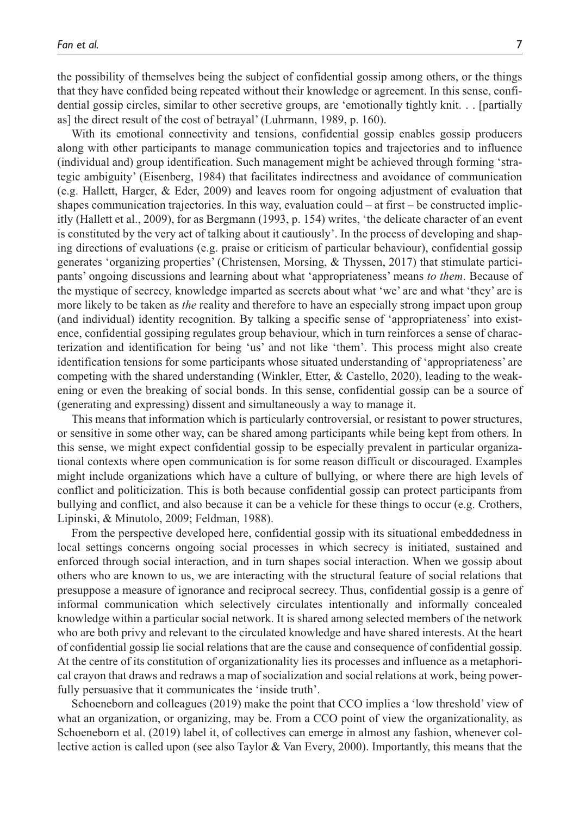the possibility of themselves being the subject of confidential gossip among others, or the things that they have confided being repeated without their knowledge or agreement. In this sense, confidential gossip circles, similar to other secretive groups, are 'emotionally tightly knit. . . [partially

as] the direct result of the cost of betrayal' (Luhrmann, 1989, p. 160). With its emotional connectivity and tensions, confidential gossip enables gossip producers along with other participants to manage communication topics and trajectories and to influence (individual and) group identification. Such management might be achieved through forming 'strategic ambiguity' (Eisenberg, 1984) that facilitates indirectness and avoidance of communication (e.g. Hallett, Harger, & Eder, 2009) and leaves room for ongoing adjustment of evaluation that shapes communication trajectories. In this way, evaluation could – at first – be constructed implicitly (Hallett et al., 2009), for as Bergmann (1993, p. 154) writes, 'the delicate character of an event is constituted by the very act of talking about it cautiously'. In the process of developing and shaping directions of evaluations (e.g. praise or criticism of particular behaviour), confidential gossip generates 'organizing properties' (Christensen, Morsing, & Thyssen, 2017) that stimulate participants' ongoing discussions and learning about what 'appropriateness' means *to them*. Because of the mystique of secrecy, knowledge imparted as secrets about what 'we' are and what 'they' are is more likely to be taken as *the* reality and therefore to have an especially strong impact upon group (and individual) identity recognition. By talking a specific sense of 'appropriateness' into existence, confidential gossiping regulates group behaviour, which in turn reinforces a sense of characterization and identification for being 'us' and not like 'them'. This process might also create identification tensions for some participants whose situated understanding of 'appropriateness' are competing with the shared understanding (Winkler, Etter, & Castello, 2020), leading to the weakening or even the breaking of social bonds. In this sense, confidential gossip can be a source of (generating and expressing) dissent and simultaneously a way to manage it.

This means that information which is particularly controversial, or resistant to power structures, or sensitive in some other way, can be shared among participants while being kept from others. In this sense, we might expect confidential gossip to be especially prevalent in particular organizational contexts where open communication is for some reason difficult or discouraged. Examples might include organizations which have a culture of bullying, or where there are high levels of conflict and politicization. This is both because confidential gossip can protect participants from bullying and conflict, and also because it can be a vehicle for these things to occur (e.g. Crothers, Lipinski, & Minutolo, 2009; Feldman, 1988).

From the perspective developed here, confidential gossip with its situational embeddedness in local settings concerns ongoing social processes in which secrecy is initiated, sustained and enforced through social interaction, and in turn shapes social interaction. When we gossip about others who are known to us, we are interacting with the structural feature of social relations that presuppose a measure of ignorance and reciprocal secrecy. Thus, confidential gossip is a genre of informal communication which selectively circulates intentionally and informally concealed knowledge within a particular social network. It is shared among selected members of the network who are both privy and relevant to the circulated knowledge and have shared interests. At the heart of confidential gossip lie social relations that are the cause and consequence of confidential gossip. At the centre of its constitution of organizationality lies its processes and influence as a metaphorical crayon that draws and redraws a map of socialization and social relations at work, being powerfully persuasive that it communicates the 'inside truth'.

Schoeneborn and colleagues (2019) make the point that CCO implies a 'low threshold' view of what an organization, or organizing, may be. From a CCO point of view the organizationality, as Schoeneborn et al. (2019) label it, of collectives can emerge in almost any fashion, whenever collective action is called upon (see also Taylor & Van Every, 2000). Importantly, this means that the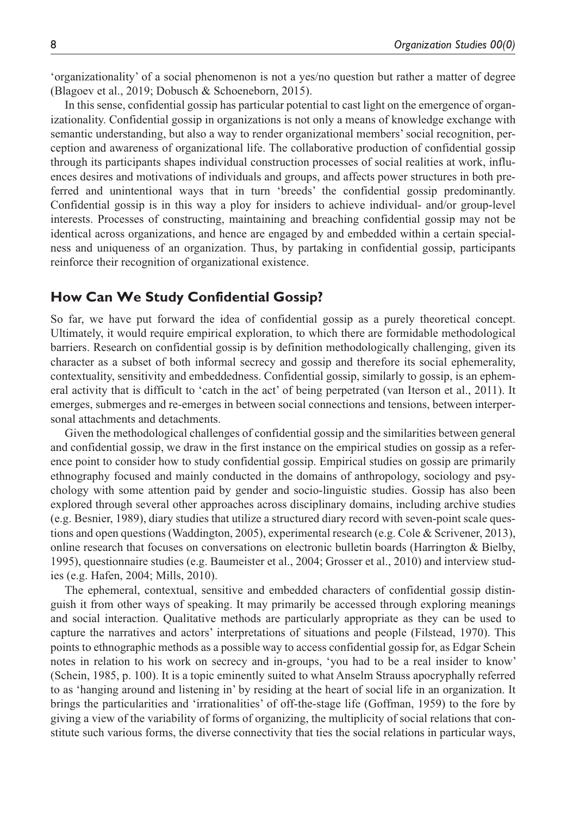'organizationality' of a social phenomenon is not a yes/no question but rather a matter of degree (Blagoev et al., 2019; Dobusch & Schoeneborn, 2015).

In this sense, confidential gossip has particular potential to cast light on the emergence of organizationality. Confidential gossip in organizations is not only a means of knowledge exchange with semantic understanding, but also a way to render organizational members' social recognition, perception and awareness of organizational life. The collaborative production of confidential gossip through its participants shapes individual construction processes of social realities at work, influences desires and motivations of individuals and groups, and affects power structures in both preferred and unintentional ways that in turn 'breeds' the confidential gossip predominantly. Confidential gossip is in this way a ploy for insiders to achieve individual- and/or group-level interests. Processes of constructing, maintaining and breaching confidential gossip may not be identical across organizations, and hence are engaged by and embedded within a certain specialness and uniqueness of an organization. Thus, by partaking in confidential gossip, participants reinforce their recognition of organizational existence.

## **How Can We Study Confidential Gossip?**

So far, we have put forward the idea of confidential gossip as a purely theoretical concept. Ultimately, it would require empirical exploration, to which there are formidable methodological barriers. Research on confidential gossip is by definition methodologically challenging, given its character as a subset of both informal secrecy and gossip and therefore its social ephemerality, contextuality, sensitivity and embeddedness. Confidential gossip, similarly to gossip, is an ephemeral activity that is difficult to 'catch in the act' of being perpetrated (van Iterson et al., 2011). It emerges, submerges and re-emerges in between social connections and tensions, between interpersonal attachments and detachments.

Given the methodological challenges of confidential gossip and the similarities between general and confidential gossip, we draw in the first instance on the empirical studies on gossip as a reference point to consider how to study confidential gossip. Empirical studies on gossip are primarily ethnography focused and mainly conducted in the domains of anthropology, sociology and psychology with some attention paid by gender and socio-linguistic studies. Gossip has also been explored through several other approaches across disciplinary domains, including archive studies (e.g. Besnier, 1989), diary studies that utilize a structured diary record with seven-point scale questions and open questions (Waddington, 2005), experimental research (e.g. Cole & Scrivener, 2013), online research that focuses on conversations on electronic bulletin boards (Harrington & Bielby, 1995), questionnaire studies (e.g. Baumeister et al., 2004; Grosser et al., 2010) and interview studies (e.g. Hafen, 2004; Mills, 2010).

The ephemeral, contextual, sensitive and embedded characters of confidential gossip distinguish it from other ways of speaking. It may primarily be accessed through exploring meanings and social interaction. Qualitative methods are particularly appropriate as they can be used to capture the narratives and actors' interpretations of situations and people (Filstead, 1970). This points to ethnographic methods as a possible way to access confidential gossip for, as Edgar Schein notes in relation to his work on secrecy and in-groups, 'you had to be a real insider to know' (Schein, 1985, p. 100). It is a topic eminently suited to what Anselm Strauss apocryphally referred to as 'hanging around and listening in' by residing at the heart of social life in an organization. It brings the particularities and 'irrationalities' of off-the-stage life (Goffman, 1959) to the fore by giving a view of the variability of forms of organizing, the multiplicity of social relations that constitute such various forms, the diverse connectivity that ties the social relations in particular ways,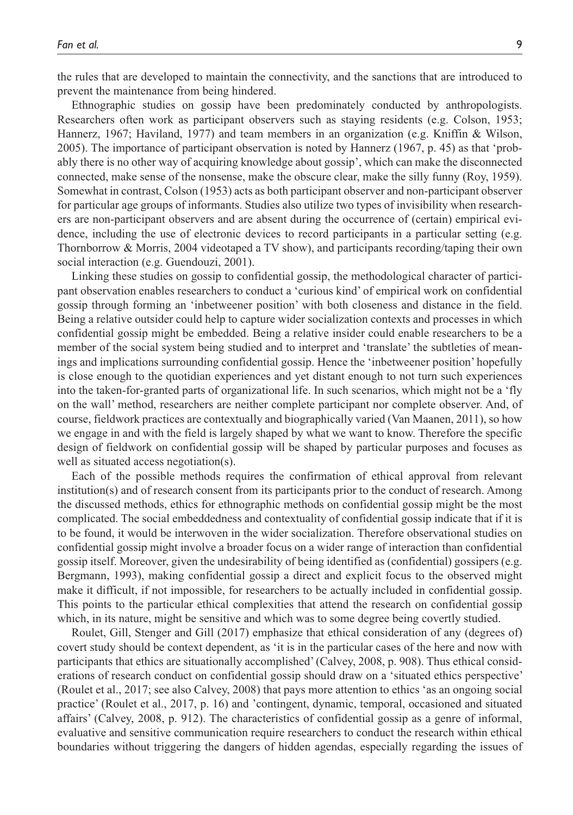the rules that are developed to maintain the connectivity, and the sanctions that are introduced to prevent the maintenance from being hindered.

Ethnographic studies on gossip have been predominately conducted by anthropologists. Researchers often work as participant observers such as staying residents (e.g. Colson, 1953; Hannerz, 1967; Haviland, 1977) and team members in an organization (e.g. Kniffin & Wilson, 2005). The importance of participant observation is noted by Hannerz (1967, p. 45) as that 'probably there is no other way of acquiring knowledge about gossip', which can make the disconnected connected, make sense of the nonsense, make the obscure clear, make the silly funny (Roy, 1959). Somewhat in contrast, Colson (1953) acts as both participant observer and non-participant observer for particular age groups of informants. Studies also utilize two types of invisibility when researchers are non-participant observers and are absent during the occurrence of (certain) empirical evidence, including the use of electronic devices to record participants in a particular setting (e.g. Thornborrow & Morris, 2004 videotaped a TV show), and participants recording/taping their own social interaction (e.g. Guendouzi, 2001).

Linking these studies on gossip to confidential gossip, the methodological character of participant observation enables researchers to conduct a 'curious kind' of empirical work on confidential gossip through forming an 'inbetweener position' with both closeness and distance in the field. Being a relative outsider could help to capture wider socialization contexts and processes in which confidential gossip might be embedded. Being a relative insider could enable researchers to be a member of the social system being studied and to interpret and 'translate' the subtleties of meanings and implications surrounding confidential gossip. Hence the 'inbetweener position' hopefully is close enough to the quotidian experiences and yet distant enough to not turn such experiences into the taken-for-granted parts of organizational life. In such scenarios, which might not be a 'fly on the wall' method, researchers are neither complete participant nor complete observer. And, of course, fieldwork practices are contextually and biographically varied (Van Maanen, 2011), so how we engage in and with the field is largely shaped by what we want to know. Therefore the specific design of fieldwork on confidential gossip will be shaped by particular purposes and focuses as well as situated access negotiation(s).

Each of the possible methods requires the confirmation of ethical approval from relevant institution(s) and of research consent from its participants prior to the conduct of research. Among the discussed methods, ethics for ethnographic methods on confidential gossip might be the most complicated. The social embeddedness and contextuality of confidential gossip indicate that if it is to be found, it would be interwoven in the wider socialization. Therefore observational studies on confidential gossip might involve a broader focus on a wider range of interaction than confidential gossip itself. Moreover, given the undesirability of being identified as (confidential) gossipers (e.g. Bergmann, 1993), making confidential gossip a direct and explicit focus to the observed might make it difficult, if not impossible, for researchers to be actually included in confidential gossip. This points to the particular ethical complexities that attend the research on confidential gossip which, in its nature, might be sensitive and which was to some degree being covertly studied.

Roulet, Gill, Stenger and Gill (2017) emphasize that ethical consideration of any (degrees of) covert study should be context dependent, as 'it is in the particular cases of the here and now with participants that ethics are situationally accomplished' (Calvey, 2008, p. 908). Thus ethical considerations of research conduct on confidential gossip should draw on a 'situated ethics perspective' (Roulet et al., 2017; see also Calvey, 2008) that pays more attention to ethics 'as an ongoing social practice' (Roulet et al., 2017, p. 16) and 'contingent, dynamic, temporal, occasioned and situated affairs' (Calvey, 2008, p. 912). The characteristics of confidential gossip as a genre of informal, evaluative and sensitive communication require researchers to conduct the research within ethical boundaries without triggering the dangers of hidden agendas, especially regarding the issues of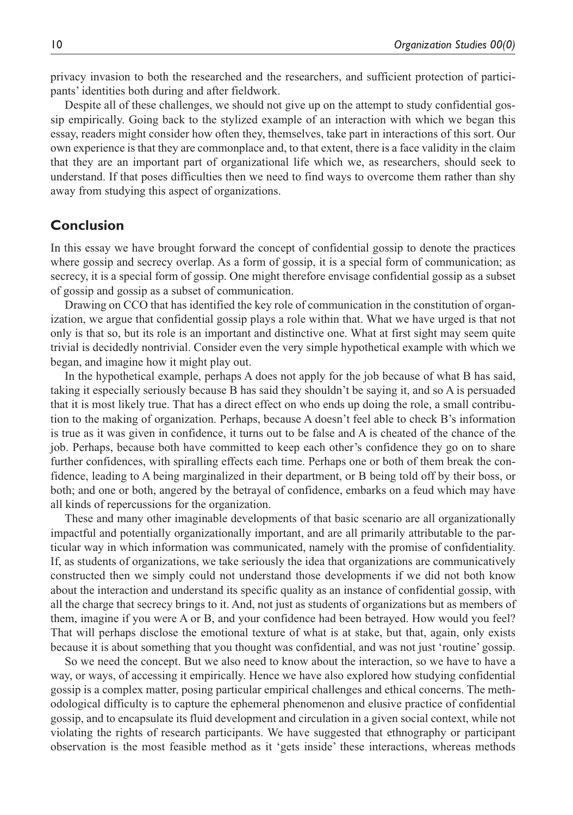privacy invasion to both the researched and the researchers, and sufficient protection of participants' identities both during and after fieldwork.

Despite all of these challenges, we should not give up on the attempt to study confidential gossip empirically. Going back to the stylized example of an interaction with which we began this essay, readers might consider how often they, themselves, take part in interactions of this sort. Our own experience is that they are commonplace and, to that extent, there is a face validity in the claim that they are an important part of organizational life which we, as researchers, should seek to understand. If that poses difficulties then we need to find ways to overcome them rather than shy away from studying this aspect of organizations.

## **Conclusion**

In this essay we have brought forward the concept of confidential gossip to denote the practices where gossip and secrecy overlap. As a form of gossip, it is a special form of communication; as secrecy, it is a special form of gossip. One might therefore envisage confidential gossip as a subset of gossip and gossip as a subset of communication.

Drawing on CCO that has identified the key role of communication in the constitution of organization, we argue that confidential gossip plays a role within that. What we have urged is that not only is that so, but its role is an important and distinctive one. What at first sight may seem quite trivial is decidedly nontrivial. Consider even the very simple hypothetical example with which we began, and imagine how it might play out.

In the hypothetical example, perhaps A does not apply for the job because of what B has said, taking it especially seriously because B has said they shouldn't be saying it, and so A is persuaded that it is most likely true. That has a direct effect on who ends up doing the role, a small contribution to the making of organization. Perhaps, because A doesn't feel able to check B's information is true as it was given in confidence, it turns out to be false and A is cheated of the chance of the job. Perhaps, because both have committed to keep each other's confidence they go on to share further confidences, with spiralling effects each time. Perhaps one or both of them break the confidence, leading to A being marginalized in their department, or B being told off by their boss, or both; and one or both, angered by the betrayal of confidence, embarks on a feud which may have all kinds of repercussions for the organization.

These and many other imaginable developments of that basic scenario are all organizationally impactful and potentially organizationally important, and are all primarily attributable to the particular way in which information was communicated, namely with the promise of confidentiality. If, as students of organizations, we take seriously the idea that organizations are communicatively constructed then we simply could not understand those developments if we did not both know about the interaction and understand its specific quality as an instance of confidential gossip, with all the charge that secrecy brings to it. And, not just as students of organizations but as members of them, imagine if you were A or B, and your confidence had been betrayed. How would you feel? That will perhaps disclose the emotional texture of what is at stake, but that, again, only exists because it is about something that you thought was confidential, and was not just 'routine' gossip.

So we need the concept. But we also need to know about the interaction, so we have to have a way, or ways, of accessing it empirically. Hence we have also explored how studying confidential gossip is a complex matter, posing particular empirical challenges and ethical concerns. The methodological difficulty is to capture the ephemeral phenomenon and elusive practice of confidential gossip, and to encapsulate its fluid development and circulation in a given social context, while not violating the rights of research participants. We have suggested that ethnography or participant observation is the most feasible method as it 'gets inside' these interactions, whereas methods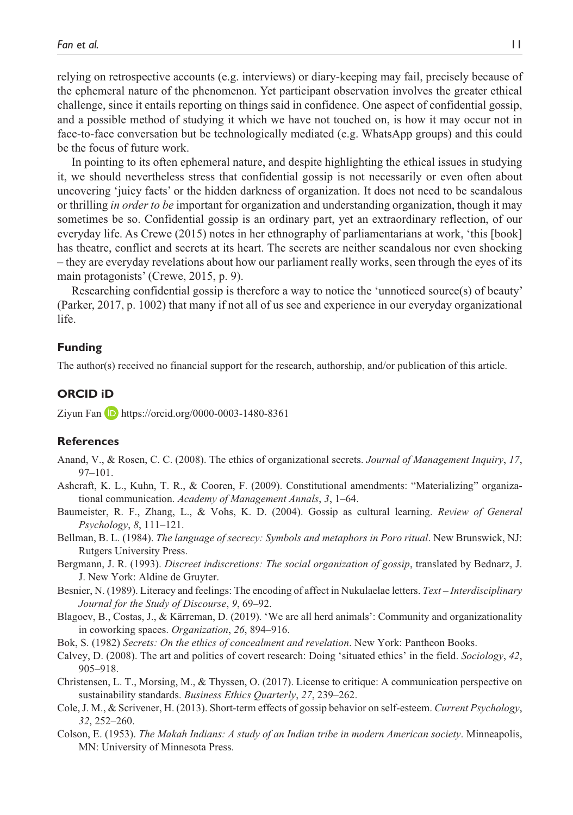relying on retrospective accounts (e.g. interviews) or diary-keeping may fail, precisely because of the ephemeral nature of the phenomenon. Yet participant observation involves the greater ethical challenge, since it entails reporting on things said in confidence. One aspect of confidential gossip, and a possible method of studying it which we have not touched on, is how it may occur not in face-to-face conversation but be technologically mediated (e.g. WhatsApp groups) and this could be the focus of future work.

In pointing to its often ephemeral nature, and despite highlighting the ethical issues in studying it, we should nevertheless stress that confidential gossip is not necessarily or even often about uncovering 'juicy facts' or the hidden darkness of organization. It does not need to be scandalous or thrilling *in order to be* important for organization and understanding organization, though it may sometimes be so. Confidential gossip is an ordinary part, yet an extraordinary reflection, of our everyday life. As Crewe (2015) notes in her ethnography of parliamentarians at work, 'this [book] has theatre, conflict and secrets at its heart. The secrets are neither scandalous nor even shocking – they are everyday revelations about how our parliament really works, seen through the eyes of its main protagonists' (Crewe, 2015, p. 9).

Researching confidential gossip is therefore a way to notice the 'unnoticed source(s) of beauty' (Parker, 2017, p. 1002) that many if not all of us see and experience in our everyday organizational life.

#### **Funding**

The author(s) received no financial support for the research, authorship, and/or publication of this article.

#### **ORCID iD**

Ziyun Fan **D** <https://orcid.org/0000-0003-1480-8361>

#### **References**

- Anand, V., & Rosen, C. C. (2008). The ethics of organizational secrets. *Journal of Management Inquiry*, *17*, 97–101.
- Ashcraft, K. L., Kuhn, T. R., & Cooren, F. (2009). Constitutional amendments: "Materializing" organizational communication. *Academy of Management Annals*, *3*, 1–64.
- Baumeister, R. F., Zhang, L., & Vohs, K. D. (2004). Gossip as cultural learning. *Review of General Psychology*, *8*, 111–121.
- Bellman, B. L. (1984). *The language of secrecy: Symbols and metaphors in Poro ritual*. New Brunswick, NJ: Rutgers University Press.
- Bergmann, J. R. (1993). *Discreet indiscretions: The social organization of gossip*, translated by Bednarz, J. J. New York: Aldine de Gruyter.
- Besnier, N. (1989). Literacy and feelings: The encoding of affect in Nukulaelae letters. *Text Interdisciplinary Journal for the Study of Discourse*, *9*, 69–92.
- Blagoev, B., Costas, J., & Kärreman, D. (2019). 'We are all herd animals': Community and organizationality in coworking spaces. *Organization*, *26*, 894–916.
- Bok, S. (1982) *Secrets: On the ethics of concealment and revelation*. New York: Pantheon Books.
- Calvey, D. (2008). The art and politics of covert research: Doing 'situated ethics' in the field. *Sociology*, *42*, 905–918.
- Christensen, L. T., Morsing, M., & Thyssen, O. (2017). License to critique: A communication perspective on sustainability standards. *Business Ethics Quarterly*, *27*, 239–262.
- Cole, J. M., & Scrivener, H. (2013). Short-term effects of gossip behavior on self-esteem. *Current Psychology*, *32*, 252–260.
- Colson, E. (1953). *The Makah Indians: A study of an Indian tribe in modern American society*. Minneapolis, MN: University of Minnesota Press.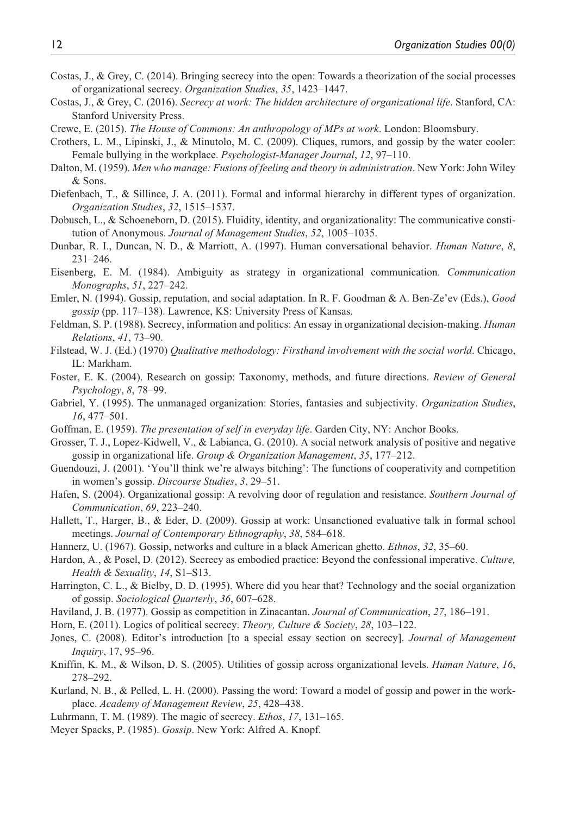- Costas, J., & Grey, C. (2014). Bringing secrecy into the open: Towards a theorization of the social processes of organizational secrecy. *Organization Studies*, *35*, 1423–1447.
- Costas, J., & Grey, C. (2016). *Secrecy at work: The hidden architecture of organizational life*. Stanford, CA: Stanford University Press.
- Crewe, E. (2015). *The House of Commons: An anthropology of MPs at work*. London: Bloomsbury.
- Crothers, L. M., Lipinski, J., & Minutolo, M. C. (2009). Cliques, rumors, and gossip by the water cooler: Female bullying in the workplace. *Psychologist-Manager Journal*, *12*, 97–110.
- Dalton, M. (1959). *Men who manage: Fusions of feeling and theory in administration*. New York: John Wiley & Sons.
- Diefenbach, T., & Sillince, J. A. (2011). Formal and informal hierarchy in different types of organization. *Organization Studies*, *32*, 1515–1537.
- Dobusch, L., & Schoeneborn, D. (2015). Fluidity, identity, and organizationality: The communicative constitution of Anonymous. *Journal of Management Studies*, *52*, 1005–1035.
- Dunbar, R. I., Duncan, N. D., & Marriott, A. (1997). Human conversational behavior. *Human Nature*, *8*, 231–246.
- Eisenberg, E. M. (1984). Ambiguity as strategy in organizational communication. *Communication Monographs*, *51*, 227–242.
- Emler, N. (1994). Gossip, reputation, and social adaptation. In R. F. Goodman & A. Ben-Ze'ev (Eds.), *Good gossip* (pp. 117–138). Lawrence, KS: University Press of Kansas.
- Feldman, S. P. (1988). Secrecy, information and politics: An essay in organizational decision-making. *Human Relations*, *41*, 73–90.
- Filstead, W. J. (Ed.) (1970) *Qualitative methodology: Firsthand involvement with the social world*. Chicago, IL: Markham.
- Foster, E. K. (2004). Research on gossip: Taxonomy, methods, and future directions. *Review of General Psychology*, *8*, 78–99.
- Gabriel, Y. (1995). The unmanaged organization: Stories, fantasies and subjectivity. *Organization Studies*, *16*, 477–501.
- Goffman, E. (1959). *The presentation of self in everyday life*. Garden City, NY: Anchor Books.
- Grosser, T. J., Lopez-Kidwell, V., & Labianca, G. (2010). A social network analysis of positive and negative gossip in organizational life. *Group & Organization Management*, *35*, 177–212.
- Guendouzi, J. (2001). 'You'll think we're always bitching': The functions of cooperativity and competition in women's gossip. *Discourse Studies*, *3*, 29–51.
- Hafen, S. (2004). Organizational gossip: A revolving door of regulation and resistance. *Southern Journal of Communication*, *69*, 223–240.
- Hallett, T., Harger, B., & Eder, D. (2009). Gossip at work: Unsanctioned evaluative talk in formal school meetings. *Journal of Contemporary Ethnography*, *38*, 584–618.
- Hannerz, U. (1967). Gossip, networks and culture in a black American ghetto. *Ethnos*, *32*, 35–60.
- Hardon, A., & Posel, D. (2012). Secrecy as embodied practice: Beyond the confessional imperative. *Culture, Health & Sexuality*, *14*, S1–S13.
- Harrington, C. L., & Bielby, D. D. (1995). Where did you hear that? Technology and the social organization of gossip. *Sociological Quarterly*, *36*, 607–628.
- Haviland, J. B. (1977). Gossip as competition in Zinacantan. *Journal of Communication*, *27*, 186–191.
- Horn, E. (2011). Logics of political secrecy. *Theory, Culture & Society*, *28*, 103–122.
- Jones, C. (2008). Editor's introduction [to a special essay section on secrecy]. *Journal of Management Inquiry*, 17, 95–96.
- Kniffin, K. M., & Wilson, D. S. (2005). Utilities of gossip across organizational levels. *Human Nature*, *16*, 278–292.
- Kurland, N. B., & Pelled, L. H. (2000). Passing the word: Toward a model of gossip and power in the workplace. *Academy of Management Review*, *25*, 428–438.
- Luhrmann, T. M. (1989). The magic of secrecy. *Ethos*, *17*, 131–165.
- Meyer Spacks, P. (1985). *Gossip*. New York: Alfred A. Knopf.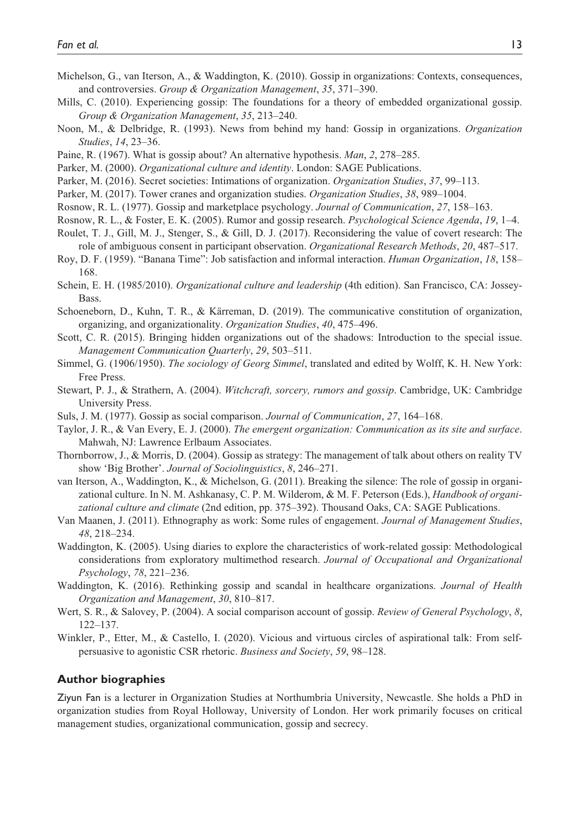- Michelson, G., van Iterson, A., & Waddington, K. (2010). Gossip in organizations: Contexts, consequences, and controversies. *Group & Organization Management*, *35*, 371–390.
- Mills, C. (2010). Experiencing gossip: The foundations for a theory of embedded organizational gossip. *Group & Organization Management*, *35*, 213–240.
- Noon, M., & Delbridge, R. (1993). News from behind my hand: Gossip in organizations. *Organization Studies*, *14*, 23–36.
- Paine, R. (1967). What is gossip about? An alternative hypothesis. *Man*, *2*, 278–285.
- Parker, M. (2000). *Organizational culture and identity*. London: SAGE Publications.
- Parker, M. (2016). Secret societies: Intimations of organization. *Organization Studies*, *37*, 99–113.
- Parker, M. (2017). Tower cranes and organization studies. *Organization Studies*, *38*, 989–1004.
- Rosnow, R. L. (1977). Gossip and marketplace psychology. *Journal of Communication*, *27*, 158–163.
- Rosnow, R. L., & Foster, E. K. (2005). Rumor and gossip research. *Psychological Science Agenda*, *19*, 1–4.
- Roulet, T. J., Gill, M. J., Stenger, S., & Gill, D. J. (2017). Reconsidering the value of covert research: The role of ambiguous consent in participant observation. *Organizational Research Methods*, *20*, 487–517.
- Roy, D. F. (1959). "Banana Time": Job satisfaction and informal interaction. *Human Organization*, *18*, 158– 168.
- Schein, E. H. (1985/2010). *Organizational culture and leadership* (4th edition). San Francisco, CA: Jossey-**Bass**
- Schoeneborn, D., Kuhn, T. R., & Kärreman, D. (2019). The communicative constitution of organization, organizing, and organizationality. *Organization Studies*, *40*, 475–496.
- Scott, C. R. (2015). Bringing hidden organizations out of the shadows: Introduction to the special issue. *Management Communication Quarterly*, *29*, 503–511.
- Simmel, G. (1906/1950). *The sociology of Georg Simmel*, translated and edited by Wolff, K. H. New York: Free Press.
- Stewart, P. J., & Strathern, A. (2004). *Witchcraft, sorcery, rumors and gossip*. Cambridge, UK: Cambridge University Press.
- Suls, J. M. (1977). Gossip as social comparison. *Journal of Communication*, *27*, 164–168.
- Taylor, J. R., & Van Every, E. J. (2000). *The emergent organization: Communication as its site and surface*. Mahwah, NJ: Lawrence Erlbaum Associates.
- Thornborrow, J., & Morris, D. (2004). Gossip as strategy: The management of talk about others on reality TV show 'Big Brother'. *Journal of Sociolinguistics*, *8*, 246–271.
- van Iterson, A., Waddington, K., & Michelson, G. (2011). Breaking the silence: The role of gossip in organizational culture. In N. M. Ashkanasy, C. P. M. Wilderom, & M. F. Peterson (Eds.), *Handbook of organizational culture and climate* (2nd edition, pp. 375–392). Thousand Oaks, CA: SAGE Publications.
- Van Maanen, J. (2011). Ethnography as work: Some rules of engagement. *Journal of Management Studies*, *48*, 218–234.
- Waddington, K. (2005). Using diaries to explore the characteristics of work-related gossip: Methodological considerations from exploratory multimethod research. *Journal of Occupational and Organizational Psychology*, *78*, 221–236.
- Waddington, K. (2016). Rethinking gossip and scandal in healthcare organizations. *Journal of Health Organization and Management*, *30*, 810–817.
- Wert, S. R., & Salovey, P. (2004). A social comparison account of gossip. *Review of General Psychology*, *8*, 122–137.
- Winkler, P., Etter, M., & Castello, I. (2020). Vicious and virtuous circles of aspirational talk: From selfpersuasive to agonistic CSR rhetoric. *Business and Society*, *59*, 98–128.

#### **Author biographies**

Ziyun Fan is a lecturer in Organization Studies at Northumbria University, Newcastle. She holds a PhD in organization studies from Royal Holloway, University of London. Her work primarily focuses on critical management studies, organizational communication, gossip and secrecy.